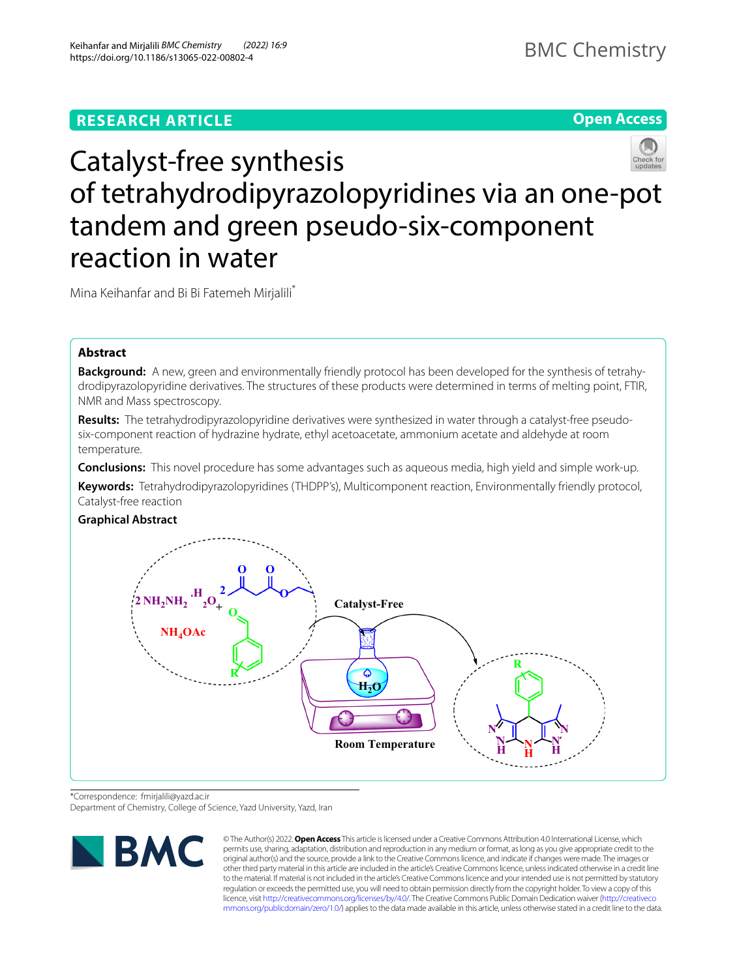## **RESEARCH ARTICLE**

**Open Access**

# Catalyst-free synthesis of tetrahydrodipyrazolopyridines via an one-pot tandem and green pseudo-six-component reaction in water

Mina Keihanfar and Bi Bi Fatemeh Mirjalili\*

## **Abstract**

**Background:** A new, green and environmentally friendly protocol has been developed for the synthesis of tetrahydrodipyrazolopyridine derivatives. The structures of these products were determined in terms of melting point, FTIR, NMR and Mass spectroscopy.

**Results:** The tetrahydrodipyrazolopyridine derivatives were synthesized in water through a catalyst-free pseudosix-component reaction of hydrazine hydrate, ethyl acetoacetate, ammonium acetate and aldehyde at room temperature.

**Conclusions:** This novel procedure has some advantages such as aqueous media, high yield and simple work-up.

**Keywords:** Tetrahydrodipyrazolopyridines (THDPP's), Multicomponent reaction, Environmentally friendly protocol, Catalyst-free reaction



\*Correspondence: fmirjalili@yazd.ac.ir

Department of Chemistry, College of Science, Yazd University, Yazd, Iran



© The Author(s) 2022. **Open Access** This article is licensed under a Creative Commons Attribution 4.0 International License, which permits use, sharing, adaptation, distribution and reproduction in any medium or format, as long as you give appropriate credit to the original author(s) and the source, provide a link to the Creative Commons licence, and indicate if changes were made. The images or other third party material in this article are included in the article's Creative Commons licence, unless indicated otherwise in a credit line to the material. If material is not included in the article's Creative Commons licence and your intended use is not permitted by statutory regulation or exceeds the permitted use, you will need to obtain permission directly from the copyright holder. To view a copy of this licence, visit [http://creativecommons.org/licenses/by/4.0/.](http://creativecommons.org/licenses/by/4.0/) The Creative Commons Public Domain Dedication waiver ([http://creativeco](http://creativecommons.org/publicdomain/zero/1.0/) [mmons.org/publicdomain/zero/1.0/](http://creativecommons.org/publicdomain/zero/1.0/)) applies to the data made available in this article, unless otherwise stated in a credit line to the data.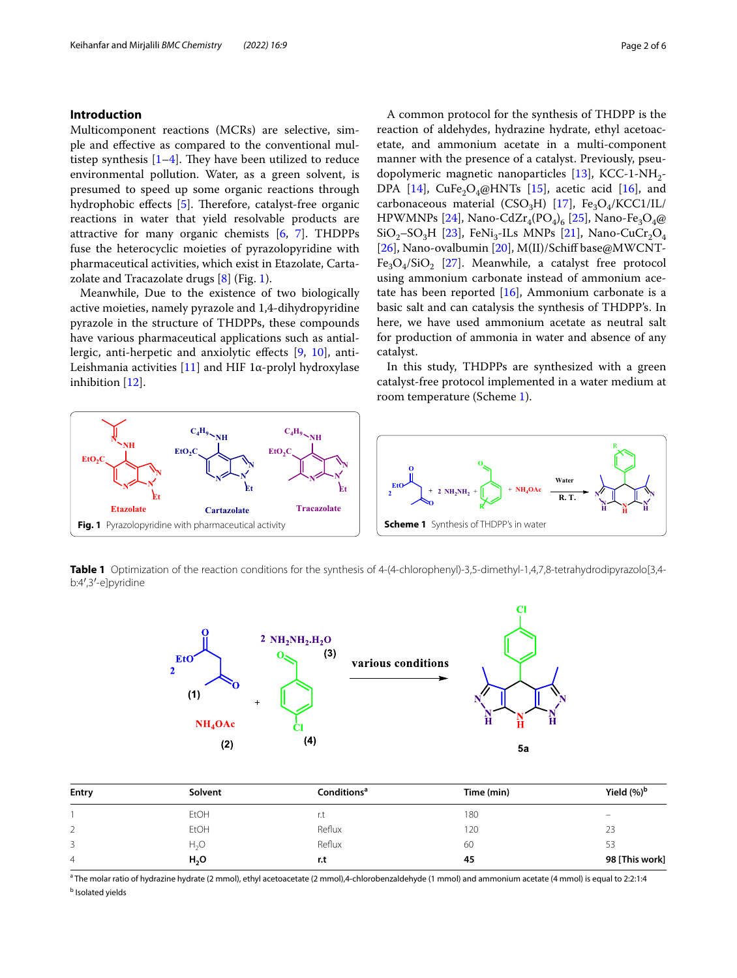## **Introduction**

Multicomponent reactions (MCRs) are selective, simple and efective as compared to the conventional multistep synthesis  $[1-4]$  $[1-4]$ . They have been utilized to reduce environmental pollution. Water, as a green solvent, is presumed to speed up some organic reactions through hydrophobic effects  $[5]$ . Therefore, catalyst-free organic reactions in water that yield resolvable products are attractive for many organic chemists [\[6](#page-5-3), [7\]](#page-5-4). THDPPs fuse the heterocyclic moieties of pyrazolopyridine with pharmaceutical activities, which exist in Etazolate, Cartazolate and Tracazolate drugs  $[8]$  $[8]$  (Fig. [1](#page-1-0)).

Meanwhile, Due to the existence of two biologically active moieties, namely pyrazole and 1,4-dihydropyridine pyrazole in the structure of THDPPs, these compounds have various pharmaceutical applications such as antiallergic, anti-herpetic and anxiolytic efects [\[9](#page-5-6), [10\]](#page-5-7), anti-Leishmania activities [[11\]](#page-5-8) and HIF 1α-prolyl hydroxylase inhibition [[12](#page-5-9)].

<span id="page-1-1"></span>catalyst. In this study, THDPPs are synthesized with a green catalyst-free protocol implemented in a water medium at room temperature (Scheme [1\)](#page-1-1).



<span id="page-1-2"></span><span id="page-1-0"></span>**Table 1** Optimization of the reaction conditions for the synthesis of 4-(4-chlorophenyl)-3,5-dimethyl-1,4,7,8-tetrahydrodipyrazolo[3,4b:4′,3′-e]pyridine



| Entry | Solvent          | Conditions <sup>a</sup> | Time (min) | Yield $(%)^b$            |
|-------|------------------|-------------------------|------------|--------------------------|
|       | <b>EtOH</b>      | r.t                     | 180        | $\overline{\phantom{0}}$ |
| ∠     | <b>EtOH</b>      | Reflux                  | 120        | 23                       |
| 3     | H <sub>2</sub> O | Reflux                  | 60         | 53                       |
| 4     | H <sub>2</sub> O | r.t                     | 45         | 98 [This work]           |

a The molar ratio of hydrazine hydrate (2 mmol), ethyl acetoacetate (2 mmol),4-chlorobenzaldehyde (1 mmol) and ammonium acetate (4 mmol) is equal to 2:2:1:4 **b** Isolated yields

A common protocol for the synthesis of THDPP is the reaction of aldehydes, hydrazine hydrate, ethyl acetoacetate, and ammonium acetate in a multi-component manner with the presence of a catalyst. Previously, pseudopolymeric magnetic nanoparticles  $[13]$ , KCC-1-NH<sub>2</sub>-DPA [\[14\]](#page-5-11), CuFe<sub>2</sub>O<sub>4</sub>@HNTs [\[15](#page-5-12)], acetic acid [\[16\]](#page-5-13), and carbonaceous material (CSO<sub>3</sub>H) [[17\]](#page-5-14), Fe<sub>3</sub>O<sub>4</sub>/KCC1/IL/ HPWMNPs [[24\]](#page-5-15), Nano-CdZr<sub>4</sub>(PO<sub>4</sub>)<sub>6</sub> [[25](#page-5-16)], Nano-Fe<sub>3</sub>O<sub>4</sub>@  $SiO<sub>2</sub>$ – $SO<sub>3</sub>H$  [\[23](#page-5-17)], FeNi<sub>3</sub>-ILs MNPs [\[21\]](#page-5-18), Nano-CuCr<sub>2</sub>O<sub>4</sub> [[26\]](#page-5-19), Nano-ovalbumin [\[20](#page-5-20)], M(II)/Schiff base@MWCNT- $Fe<sub>3</sub>O<sub>4</sub>/SiO<sub>2</sub>$  [\[27\]](#page-5-21). Meanwhile, a catalyst free protocol using ammonium carbonate instead of ammonium acetate has been reported [\[16\]](#page-5-13), Ammonium carbonate is a basic salt and can catalysis the synthesis of THDPP's. In here, we have used ammonium acetate as neutral salt for production of ammonia in water and absence of any

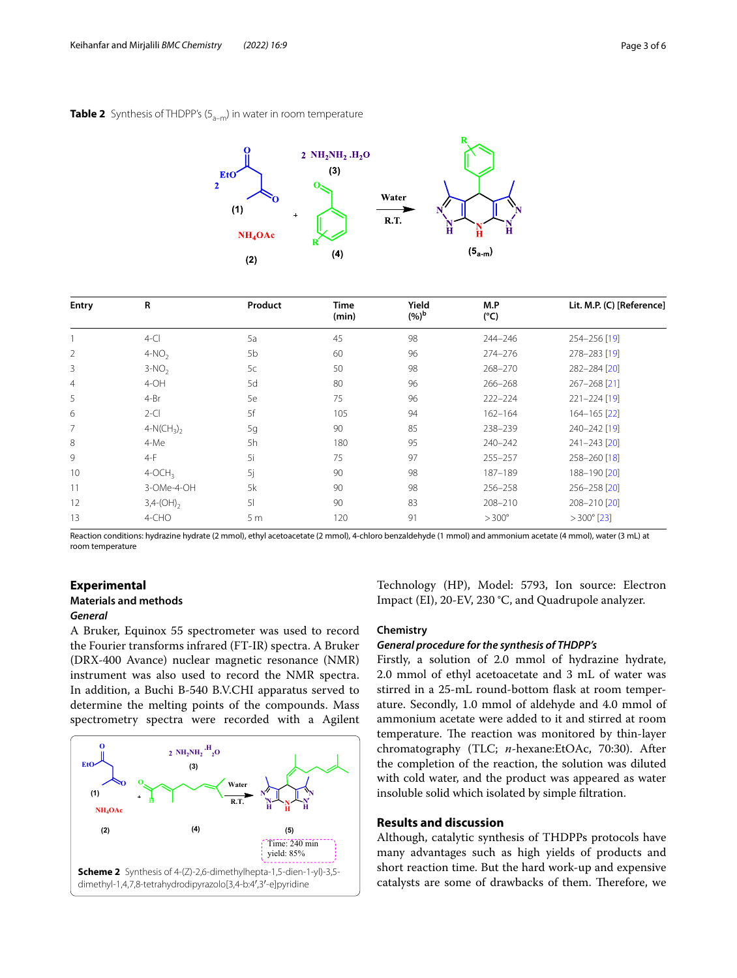## <span id="page-2-0"></span>**Table 2** Synthesis of THDPP's (5<sub>a-m</sub>) in water in room temperature



| <b>Entry</b>   | R                       | Product        | Time<br>(min) | Yield<br>$(%)^b$ | M.P<br>$(^{\circ}C)$ | Lit. M.P. (C) [Reference] |
|----------------|-------------------------|----------------|---------------|------------------|----------------------|---------------------------|
|                | $4-CI$                  | 5a             | 45            | 98               | 244-246              | 254-256 [19]              |
| $\overline{2}$ | $4-NO2$                 | 5 <sub>b</sub> | 60            | 96               | $274 - 276$          | 278-283 [19]              |
| 3              | $3-NO2$                 | 5c             | 50            | 98               | 268-270              | 282-284 [20]              |
| $\overline{4}$ | $4-OH$                  | 5d             | 80            | 96               | $266 - 268$          | 267-268 [21]              |
| 5              | $4 - Br$                | 5e             | 75            | 96               | $222 - 224$          | $221 - 224$ [19]          |
| 6              | $2-CI$                  | 5f             | 105           | 94               | $162 - 164$          | 164-165 [22]              |
| 7              | $4-N(CH_3)$             | 5g             | 90            | 85               | 238-239              | 240-242 [19]              |
| 8              | 4-Me                    | 5h             | 180           | 95               | 240-242              | 241-243 [20]              |
| 9              | $4-F$                   | <sup>5i</sup>  | 75            | 97               | $255 - 257$          | 258-260 [18]              |
| 10             | $4-OCH3$                | 5j             | 90            | 98               | 187-189              | 188-190 [20]              |
| 11             | 3-OMe-4-OH              | 5k             | 90            | 98               | $256 - 258$          | 256-258 [20]              |
| 12             | $3,4-(OH)$ <sub>2</sub> | 5 <sub>l</sub> | 90            | 83               | 208-210              | 208-210 [20]              |
| 13             | 4-CHO                   | 5 <sub>m</sub> | 120           | 91               | $>300^\circ$         | $>300^{\circ}$ [23]       |

Reaction conditions: hydrazine hydrate (2 mmol), ethyl acetoacetate (2 mmol), 4-chloro benzaldehyde (1 mmol) and ammonium acetate (4 mmol), water (3 mL) at room temperature

## **Experimental**

## **Materials and methods**

## *General*

A Bruker, Equinox 55 spectrometer was used to record the Fourier transforms infrared (FT-IR) spectra. A Bruker (DRX-400 Avance) nuclear magnetic resonance (NMR) instrument was also used to record the NMR spectra. In addition, a Buchi B-540 B.V.CHI apparatus served to determine the melting points of the compounds. Mass spectrometry spectra were recorded with a Agilent

<span id="page-2-1"></span>

Technology (HP), Model: 5793, Ion source: Electron Impact (EI), 20-EV, 230 °C, and Quadrupole analyzer.

#### **Chemistry**

#### *General procedure for the synthesis of THDPP's*

Firstly, a solution of 2.0 mmol of hydrazine hydrate, 2.0 mmol of ethyl acetoacetate and 3 mL of water was stirred in a 25-mL round-bottom fask at room temperature. Secondly, 1.0 mmol of aldehyde and 4.0 mmol of ammonium acetate were added to it and stirred at room temperature. The reaction was monitored by thin-layer chromatography (TLC; *n*-hexane:EtOAc, 70:30). After the completion of the reaction, the solution was diluted with cold water, and the product was appeared as water insoluble solid which isolated by simple fltration.

## **Results and discussion**

Although, catalytic synthesis of THDPPs protocols have many advantages such as high yields of products and short reaction time. But the hard work-up and expensive catalysts are some of drawbacks of them. Therefore, we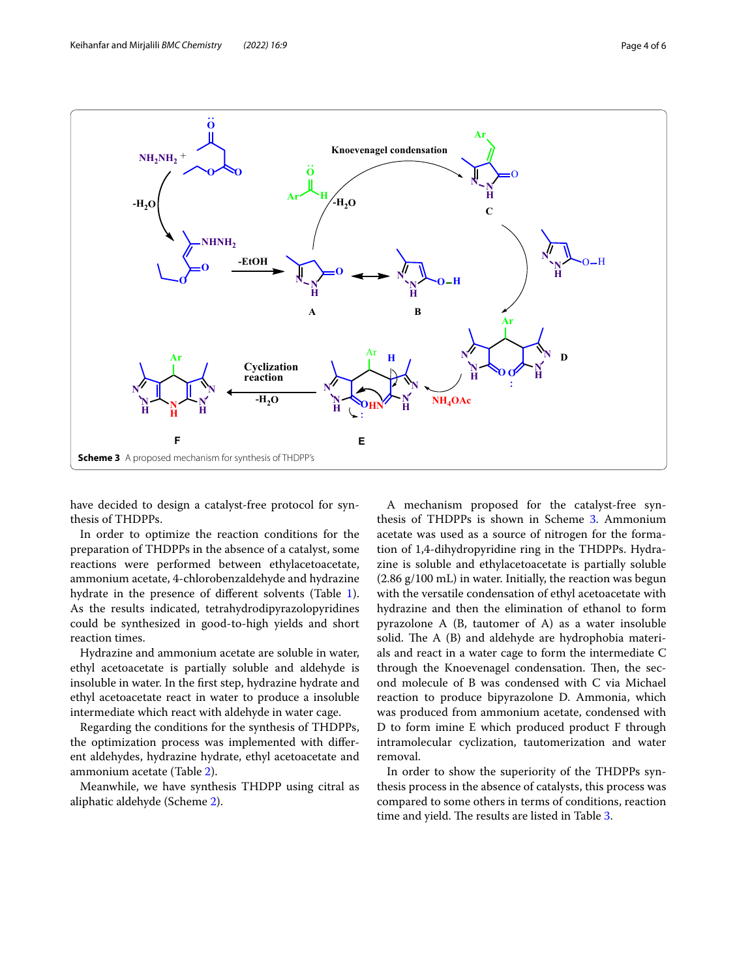

<span id="page-3-0"></span>have decided to design a catalyst-free protocol for synthesis of THDPPs.

In order to optimize the reaction conditions for the preparation of THDPPs in the absence of a catalyst, some reactions were performed between ethylacetoacetate, ammonium acetate, 4-chlorobenzaldehyde and hydrazine hydrate in the presence of diferent solvents (Table [1](#page-1-2)). As the results indicated, tetrahydrodipyrazolopyridines could be synthesized in good-to-high yields and short reaction times.

Hydrazine and ammonium acetate are soluble in water, ethyl acetoacetate is partially soluble and aldehyde is insoluble in water. In the frst step, hydrazine hydrate and ethyl acetoacetate react in water to produce a insoluble intermediate which react with aldehyde in water cage.

Regarding the conditions for the synthesis of THDPPs, the optimization process was implemented with diferent aldehydes, hydrazine hydrate, ethyl acetoacetate and ammonium acetate (Table [2](#page-2-0)).

Meanwhile, we have synthesis THDPP using citral as aliphatic aldehyde (Scheme [2\)](#page-2-1).

A mechanism proposed for the catalyst-free syn-thesis of THDPPs is shown in Scheme [3.](#page-3-0) Ammonium acetate was used as a source of nitrogen for the formation of 1,4-dihydropyridine ring in the THDPPs. Hydrazine is soluble and ethylacetoacetate is partially soluble (2.86 g/100 mL) in water. Initially, the reaction was begun with the versatile condensation of ethyl acetoacetate with hydrazine and then the elimination of ethanol to form pyrazolone A (B, tautomer of A) as a water insoluble solid. The  $A$  (B) and aldehyde are hydrophobia materials and react in a water cage to form the intermediate C through the Knoevenagel condensation. Then, the second molecule of B was condensed with C via Michael reaction to produce bipyrazolone D. Ammonia, which was produced from ammonium acetate, condensed with D to form imine E which produced product F through intramolecular cyclization, tautomerization and water removal.

In order to show the superiority of the THDPPs synthesis process in the absence of catalysts, this process was compared to some others in terms of conditions, reaction time and yield. The results are listed in Table [3](#page-4-0).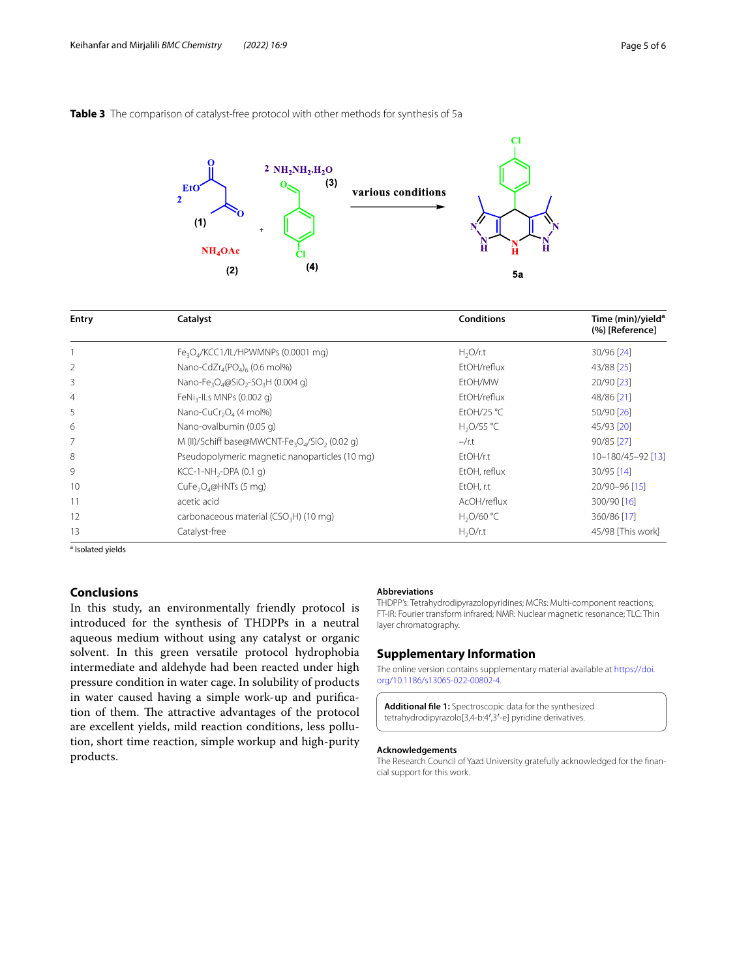## <span id="page-4-0"></span>**Table 3** The comparison of catalyst-free protocol with other methods for synthesis of 5a



| <b>Entry</b>   | Catalyst                                                                           | <b>Conditions</b>   | Time (min)/yield <sup>a</sup><br>(%) [Reference] |  |
|----------------|------------------------------------------------------------------------------------|---------------------|--------------------------------------------------|--|
|                | Fe <sub>3</sub> O <sub>4</sub> /KCC1/IL/HPWMNPs (0.0001 mg)                        | H <sub>2</sub> O/rt | 30/96 [24]                                       |  |
| $\overline{2}$ | Nano-CdZr <sub>4</sub> (PO <sub>4</sub> ) <sub>6</sub> (0.6 mol%)                  | EtOH/reflux         | 43/88 [25]                                       |  |
| 3              | Nano-Fe <sub>3</sub> O <sub>4</sub> @SiO <sub>2</sub> -SO <sub>3</sub> H (0.004 g) | EtOH/MW             | 20/90 [23]                                       |  |
| $\overline{4}$ | FeNi <sub>3</sub> -ILs MNPs (0.002 g)                                              | EtOH/reflux         | 48/86 [21]                                       |  |
| 5              | Nano-CuCr <sub>2</sub> O <sub>4</sub> (4 mol%)                                     | EtOH/25 °C          | $50/90$ [26]                                     |  |
| 6              | Nano-ovalbumin (0.05 q)                                                            | $H_2O/55 °C$        | 45/93 [20]                                       |  |
| 7              | M (II)/Schiff base@MWCNT-Fe <sub>3</sub> O <sub>4</sub> /SiO <sub>2</sub> (0.02 g) | $-\prime$ r.t       | $90/85$ [27]                                     |  |
| 8              | Pseudopolymeric magnetic nanoparticles (10 mg)                                     | EtOH/r.t            | 10-180/45-92 [13]                                |  |
| 9              | $KCC-1-NH_{2}-DPA(0.1 q)$                                                          | EtOH, reflux        | $30/95$ [14]                                     |  |
| 10             | CuFe <sub>2</sub> O <sub>4</sub> @HNTs (5 mg)                                      | EtOH, r.t           | 20/90-96 [15]                                    |  |
| 11             | acetic acid                                                                        | AcOH/reflux         | 300/90 [16]                                      |  |
| 12             | carbonaceous material (CSO <sub>3</sub> H) (10 mg)                                 | $H_2O/60 °C$        | 360/86 [17]                                      |  |
| 13             | Catalyst-free                                                                      | $H_2O/r.t$          | 45/98 [This work]                                |  |

<sup>a</sup> Isolated yields

## **Conclusions**

In this study, an environmentally friendly protocol is introduced for the synthesis of THDPPs in a neutral aqueous medium without using any catalyst or organic solvent. In this green versatile protocol hydrophobia intermediate and aldehyde had been reacted under high pressure condition in water cage. In solubility of products in water caused having a simple work-up and purifcation of them. The attractive advantages of the protocol are excellent yields, mild reaction conditions, less pollution, short time reaction, simple workup and high-purity products.

#### **Abbreviations**

THDPP's: Tetrahydrodipyrazolopyridines; MCRs: Multi-component reactions; FT-IR: Fourier transform infrared; NMR: Nuclear magnetic resonance; TLC: Thin layer chromatography.

## **Supplementary Information**

The online version contains supplementary material available at [https://doi.](https://doi.org/10.1186/s13065-022-00802-4) [org/10.1186/s13065-022-00802-4](https://doi.org/10.1186/s13065-022-00802-4).

**Additional fle 1:** Spectroscopic data for the synthesized tetrahydrodipyrazolo[3,4-b:4′,3′-e] pyridine derivatives.

#### **Acknowledgements**

The Research Council of Yazd University gratefully acknowledged for the fnancial support for this work.